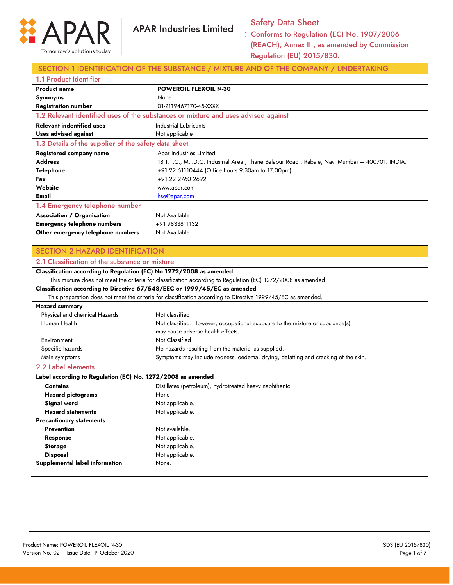

## Safety Data Sheet

Conforms to Regulation (EC) No. 1907/2006 (REACH), Annex II , as amended by Commission Regulation (EU) 2015/830.

### SECTION 1 IDENTIFICATION OF THE SUBSTANCE / MIXTURE AND OF THE COMPANY / UNDERTAKING

| 1.1 Product Identifier                               |                                                                                               |
|------------------------------------------------------|-----------------------------------------------------------------------------------------------|
| <b>Product name</b>                                  | <b>POWEROIL FLEXOIL N-30</b>                                                                  |
| <b>Synonyms</b>                                      | None                                                                                          |
| <b>Registration number</b>                           | 01-2119467170-45-XXXX                                                                         |
|                                                      | 1.2 Relevant identified uses of the substances or mixture and uses advised against            |
| <b>Relevant indentified uses</b>                     | Industrial Lubricants                                                                         |
| Uses advised against                                 | Not applicable                                                                                |
| 1.3 Details of the supplier of the safety data sheet |                                                                                               |
| Registered company name                              | Apar Industries Limited                                                                       |
| <b>Address</b>                                       | 18 T.T.C., M.I.D.C. Industrial Area, Thane Belapur Road, Rabale, Navi Mumbai – 400701. INDIA. |
| Telephone                                            | +91 22 61110444 (Office hours 9.30am to 17.00pm)                                              |
| Fax                                                  | +91 22 2760 2692                                                                              |
| Website                                              | www.apar.com                                                                                  |
| Email                                                | hse@apar.com                                                                                  |
| 1.4 Emergency telephone number                       |                                                                                               |
| <b>Association / Organisation</b>                    | Not Available                                                                                 |
| <b>Emergency telephone numbers</b>                   | +91 9833811132                                                                                |
| Other emergency telephone numbers                    | Not Available                                                                                 |

### SECTION 2 HAZARD IDENTIFICATION

## 2.1 Classification of the substance or mixture

### **Classification according to Regulation (EC) No 1272/2008 as amended** This mixture does not meet the criteria for classification according to Regulation (EC) 1272/2008 as amended

**Classification according to Directive 67/548/EEC or 1999/45/EC as amended**

This preparation does not meet the criteria for classification according to Directive 1999/45/EC as amended.

### **Hazard summary**

| Physical and chemical Hazards | Not classified                                                                    |
|-------------------------------|-----------------------------------------------------------------------------------|
| Human Health                  | Not classified. However, occupational exposure to the mixture or substance(s)     |
|                               | may cause adverse health effects.                                                 |
| Environment                   | Not Classified                                                                    |
| Specific hazards              | No hazards resulting from the material as supplied.                               |
| Main symptoms                 | Symptoms may include redness, oedema, drying, defatting and cracking of the skin. |

### 2.2 Label elements

**Label according to Regulation (EC) No. 1272/2008 as amended**

| <b>Contains</b>                 | Distillates (petroleum), hydrotreated heavy naphthenic |
|---------------------------------|--------------------------------------------------------|
| <b>Hazard pictograms</b>        | None                                                   |
| Signal word                     | Not applicable.                                        |
| <b>Hazard statements</b>        | Not applicable.                                        |
| <b>Precautionary statements</b> |                                                        |
| <b>Prevention</b>               | Not available.                                         |
| Response                        | Not applicable.                                        |
| <b>Storage</b>                  | Not applicable.                                        |
| <b>Disposal</b>                 | Not applicable.                                        |
| Supplemental label information  | None.                                                  |
|                                 |                                                        |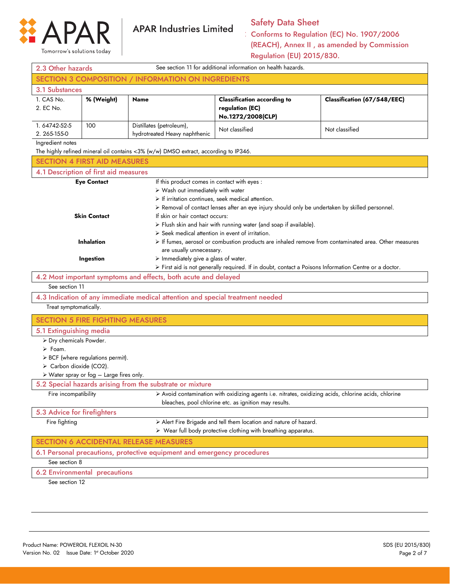

## Safety Data Sheet

| 2.3 Other hazards                       |                                                                                                                                                                                                                                                                                                                                                   |                                                                                                                                                                       | See section 11 for additional information on health hazards.                                                                                                  |                             |  |
|-----------------------------------------|---------------------------------------------------------------------------------------------------------------------------------------------------------------------------------------------------------------------------------------------------------------------------------------------------------------------------------------------------|-----------------------------------------------------------------------------------------------------------------------------------------------------------------------|---------------------------------------------------------------------------------------------------------------------------------------------------------------|-----------------------------|--|
|                                         |                                                                                                                                                                                                                                                                                                                                                   | <b>SECTION 3 COMPOSITION / INFORMATION ON INGREDIENTS</b>                                                                                                             |                                                                                                                                                               |                             |  |
| 3.1 Substances                          |                                                                                                                                                                                                                                                                                                                                                   |                                                                                                                                                                       |                                                                                                                                                               |                             |  |
| 1. CAS No.<br>2. EC No.                 | % (Weight)                                                                                                                                                                                                                                                                                                                                        | <b>Name</b>                                                                                                                                                           | <b>Classification according to</b><br>regulation (EC)<br>No.1272/2008(CLP)                                                                                    | Classification (67/548/EEC) |  |
| 1.64742-52-5<br>2.265-155-0             | 100                                                                                                                                                                                                                                                                                                                                               | Distillates (petroleum),<br>Not classified<br>Not classified<br>hydrotreated Heavy naphthenic                                                                         |                                                                                                                                                               |                             |  |
| Ingredient notes                        |                                                                                                                                                                                                                                                                                                                                                   | The highly refined mineral oil contains <3% (w/w) DMSO extract, according to IP346.                                                                                   |                                                                                                                                                               |                             |  |
| <b>SECTION 4 FIRST AID MEASURES</b>     |                                                                                                                                                                                                                                                                                                                                                   |                                                                                                                                                                       |                                                                                                                                                               |                             |  |
| 4.1 Description of first aid measures   |                                                                                                                                                                                                                                                                                                                                                   |                                                                                                                                                                       |                                                                                                                                                               |                             |  |
|                                         | <b>Eye Contact</b>                                                                                                                                                                                                                                                                                                                                | If this product comes in contact with eyes :<br>$\triangleright$ Wash out immediately with water<br>$\triangleright$ If irritation continues, seek medical attention. | > Removal of contact lenses after an eye injury should only be undertaken by skilled personnel.                                                               |                             |  |
|                                         | <b>Skin Contact</b>                                                                                                                                                                                                                                                                                                                               | If skin or hair contact occurs:<br>$\triangleright$ Seek medical attention in event of irritation.                                                                    | > Flush skin and hair with running water (and soap if available).                                                                                             |                             |  |
|                                         | > If fumes, aerosol or combustion products are inhaled remove from contaminated area. Other measures<br><b>Inhalation</b><br>are usually unnecessary.<br>$\triangleright$ Immediately give a glass of water.<br>Ingestion<br>$\triangleright$ First aid is not generally required. If in doubt, contact a Poisons Information Centre or a doctor. |                                                                                                                                                                       |                                                                                                                                                               |                             |  |
|                                         |                                                                                                                                                                                                                                                                                                                                                   | 4.2 Most important symptoms and effects, both acute and delayed                                                                                                       |                                                                                                                                                               |                             |  |
| See section 11                          |                                                                                                                                                                                                                                                                                                                                                   |                                                                                                                                                                       |                                                                                                                                                               |                             |  |
|                                         |                                                                                                                                                                                                                                                                                                                                                   | 4.3 Indication of any immediate medical attention and special treatment needed                                                                                        |                                                                                                                                                               |                             |  |
| Treat symptomatically.                  |                                                                                                                                                                                                                                                                                                                                                   |                                                                                                                                                                       |                                                                                                                                                               |                             |  |
| <b>SECTION 5 FIRE FIGHTING MEASURES</b> |                                                                                                                                                                                                                                                                                                                                                   |                                                                                                                                                                       |                                                                                                                                                               |                             |  |
| 5.1 Extinguishing media                 |                                                                                                                                                                                                                                                                                                                                                   |                                                                                                                                                                       |                                                                                                                                                               |                             |  |
| > Dry chemicals Powder.                 |                                                                                                                                                                                                                                                                                                                                                   |                                                                                                                                                                       |                                                                                                                                                               |                             |  |
| $\triangleright$ Foam.                  |                                                                                                                                                                                                                                                                                                                                                   |                                                                                                                                                                       |                                                                                                                                                               |                             |  |
|                                         | > BCF (where regulations permit).                                                                                                                                                                                                                                                                                                                 |                                                                                                                                                                       |                                                                                                                                                               |                             |  |
| $\triangleright$ Carbon dioxide (CO2).  |                                                                                                                                                                                                                                                                                                                                                   |                                                                                                                                                                       |                                                                                                                                                               |                             |  |
|                                         | $\triangleright$ Water spray or fog - Large fires only.                                                                                                                                                                                                                                                                                           | 5.2 Special hazards arising from the substrate or mixture                                                                                                             |                                                                                                                                                               |                             |  |
| Fire incompatibility                    |                                                                                                                                                                                                                                                                                                                                                   |                                                                                                                                                                       | > Avoid contamination with oxidizing agents i.e. nitrates, oxidizing acids, chlorine acids, chlorine<br>bleaches, pool chlorine etc. as ignition may results. |                             |  |
| 5.3 Advice for firefighters             |                                                                                                                                                                                                                                                                                                                                                   |                                                                                                                                                                       |                                                                                                                                                               |                             |  |
| Fire fighting                           |                                                                                                                                                                                                                                                                                                                                                   |                                                                                                                                                                       | > Alert Fire Brigade and tell them location and nature of hazard.                                                                                             |                             |  |
|                                         |                                                                                                                                                                                                                                                                                                                                                   |                                                                                                                                                                       | $\triangleright$ Wear full body protective clothing with breathing apparatus.                                                                                 |                             |  |
|                                         |                                                                                                                                                                                                                                                                                                                                                   | <b>SECTION 6 ACCIDENTAL RELEASE MEASURES</b>                                                                                                                          |                                                                                                                                                               |                             |  |
|                                         |                                                                                                                                                                                                                                                                                                                                                   | 6.1 Personal precautions, protective equipment and emergency procedures                                                                                               |                                                                                                                                                               |                             |  |
| See section 8                           |                                                                                                                                                                                                                                                                                                                                                   |                                                                                                                                                                       |                                                                                                                                                               |                             |  |
| 6.2 Environmental                       | precautions                                                                                                                                                                                                                                                                                                                                       |                                                                                                                                                                       |                                                                                                                                                               |                             |  |
| See section 12                          |                                                                                                                                                                                                                                                                                                                                                   |                                                                                                                                                                       |                                                                                                                                                               |                             |  |
|                                         |                                                                                                                                                                                                                                                                                                                                                   |                                                                                                                                                                       |                                                                                                                                                               |                             |  |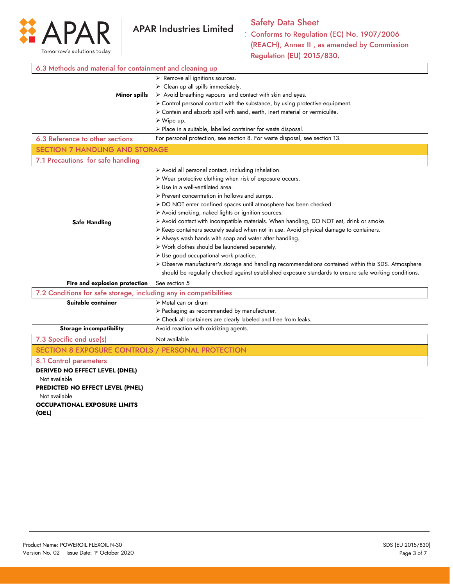

| 6.3 Methods and material for containment and cleaning up          |                                                                                                       |
|-------------------------------------------------------------------|-------------------------------------------------------------------------------------------------------|
|                                                                   | > Remove all ignitions sources.                                                                       |
|                                                                   | $\triangleright$ Clean up all spills immediately.                                                     |
| Minor spills                                                      | > Avoid breathing vapours and contact with skin and eyes.                                             |
|                                                                   | > Control personal contact with the substance, by using protective equipment.                         |
|                                                                   | > Contain and absorb spill with sand, earth, inert material or vermiculite.                           |
|                                                                   | $\triangleright$ Wipe up.                                                                             |
|                                                                   | $\triangleright$ Place in a suitable, labelled container for waste disposal.                          |
| 6.3 Reference to other sections                                   | For personal protection, see section 8. For waste disposal, see section 13.                           |
| <b>SECTION 7 HANDLING AND STORAGE</b>                             |                                                                                                       |
| 7.1 Precautions for safe handling                                 |                                                                                                       |
|                                                                   | > Avoid all personal contact, including inhalation.                                                   |
|                                                                   | > Wear protective clothing when risk of exposure occurs.                                              |
|                                                                   | $\triangleright$ Use in a well-ventilated area.                                                       |
|                                                                   | > Prevent concentration in hollows and sumps.                                                         |
|                                                                   | > DO NOT enter confined spaces until atmosphere has been checked.                                     |
|                                                                   | > Avoid smoking, naked lights or ignition sources.                                                    |
| <b>Safe Handling</b>                                              | > Avoid contact with incompatible materials. When handling, DO NOT eat, drink or smoke.               |
|                                                                   | > Keep containers securely sealed when not in use. Avoid physical damage to containers.               |
|                                                                   | > Always wash hands with soap and water after handling.                                               |
|                                                                   | > Work clothes should be laundered separately.                                                        |
|                                                                   | > Use good occupational work practice.                                                                |
|                                                                   | > Observe manufacturer's storage and handling recommendations contained within this SDS. Atmosphere   |
|                                                                   | should be regularly checked against established exposure standards to ensure safe working conditions. |
| Fire and explosion protection                                     | See section 5                                                                                         |
| 7.2 Conditions for safe storage, including any in compatibilities |                                                                                                       |
| Suitable container                                                | $\triangleright$ Metal can or drum                                                                    |
|                                                                   | > Packaging as recommended by manufacturer.                                                           |
|                                                                   | > Check all containers are clearly labeled and free from leaks.                                       |
| <b>Storage incompatibility</b>                                    | Avoid reaction with oxidizing agents.                                                                 |
| 7.3 Specific end use(s)                                           | Not available                                                                                         |
| SECTION 8 EXPOSURE CONTROLS / PERSONAL PROTECTION                 |                                                                                                       |
| 8.1 Control parameters                                            |                                                                                                       |
| <b>DERIVED NO EFFECT LEVEL (DNEL)</b>                             |                                                                                                       |
| Not available                                                     |                                                                                                       |
| PREDICTED NO EFFECT LEVEL (PNEL)                                  |                                                                                                       |
| Not available                                                     |                                                                                                       |
| <b>OCCUPATIONAL EXPOSURE LIMITS</b>                               |                                                                                                       |
| (OEL)                                                             |                                                                                                       |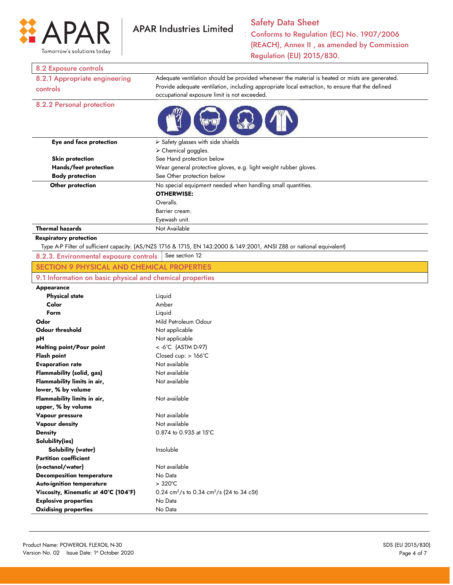

# Safety Data Sheet

Conforms to Regulation (EC) No. 1907/2006 (REACH), Annex II , as amended by Commission Regulation (EU) 2015/830.

### 8.2 Exposure controls

| 8.2.1 Appropriate engineering | Adequate ventilation should be provided whenever the material is heated or mists are generated.                 |  |
|-------------------------------|-----------------------------------------------------------------------------------------------------------------|--|
| controls                      | Provide adequate ventilation, including appropriate local extraction, to ensure that the defined                |  |
|                               | occupational exposure limit is not exceeded.                                                                    |  |
| 8.2.2 Personal protection     | the contract of the contract of the contract of the contract of the contract of the contract of the contract of |  |



| Eye and face protection | $\triangleright$ Safety glasses with side shields                |
|-------------------------|------------------------------------------------------------------|
|                         | $\triangleright$ Chemical goggles.                               |
| <b>Skin protection</b>  | See Hand protection below                                        |
| Hands/feet protection   | Wear general protective gloves, e.g. light weight rubber gloves. |
| <b>Body protection</b>  | See Other protection below                                       |
| Other protection        | No special equipment needed when handling small quantities.      |
|                         | <b>OTHERWISE:</b>                                                |
|                         | Overalls.                                                        |
|                         | Barrier cream.                                                   |
|                         | Eyewash unit.                                                    |
| <b>Thermal hazards</b>  | Not Available                                                    |

### **Respiratory protection**

Type A-P Filter of sufficient capacity. (AS/NZS 1716 & 1715, EN 143:2000 & 149:2001, ANSI Z88 or national equivalent)

| 8.2.3. Environmental exposure controls See section 12 |  |
|-------------------------------------------------------|--|
|                                                       |  |

## SECTION 9 PHYSICAL AND CHEMICAL PROPERTIES 9.1 Information on basic physical and chemical properties

### **Appearance**

| <b>Physical state</b>                | Liquid                                                            |
|--------------------------------------|-------------------------------------------------------------------|
| Color                                | Amber                                                             |
| Form                                 | Liquid                                                            |
| Odor                                 | Mild Petroleum Odour                                              |
| <b>Odour threshold</b>               | Not applicable                                                    |
| рH                                   | Not applicable                                                    |
| <b>Melting point/Pour point</b>      | $<$ -6°C (ASTM D-97)                                              |
| <b>Flash point</b>                   | Closed cup: $> 166^{\circ}$ C                                     |
| <b>Evaporation rate</b>              | Not available                                                     |
| <b>Flammability (solid, gas)</b>     | Not available                                                     |
| Flammability limits in air,          | Not available                                                     |
| lower, % by volume                   |                                                                   |
| Flammability limits in air,          | Not available                                                     |
| upper, % by volume                   |                                                                   |
| Vapour pressure                      | Not available                                                     |
| Vapour density                       | Not available                                                     |
| <b>Density</b>                       | $0.874$ to 0.935 at 15°C                                          |
| Solubility(ies)                      |                                                                   |
| <b>Solubility (water)</b>            | Insoluble                                                         |
| <b>Partition coefficient</b>         |                                                                   |
| (n-octanol/water)                    | Not available                                                     |
| <b>Decomposition temperature</b>     | No Data                                                           |
| <b>Auto-ignition temperature</b>     | $>320^{\circ}$ C                                                  |
| Viscosity, Kinematic at 40°C (104°F) | 0.24 cm <sup>2</sup> /s to 0.34 cm <sup>2</sup> /s (24 to 34 cSt) |
| <b>Explosive properties</b>          | No Data                                                           |
| <b>Oxidising properties</b>          | No Data                                                           |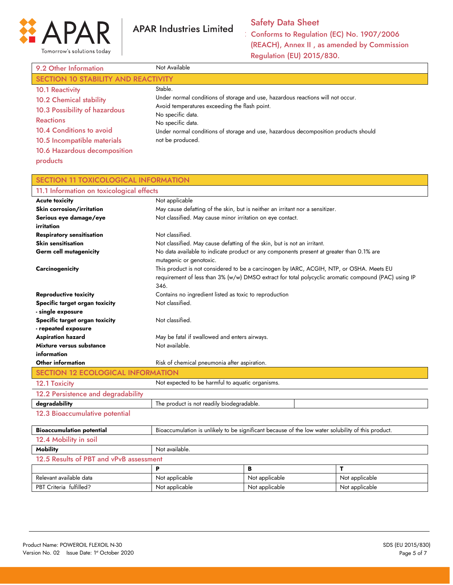

## Safety Data Sheet

| 9.2 Other Information                                                                                                                                                                                                | Not Available                                                                                                                                                                                                                                                                                    |
|----------------------------------------------------------------------------------------------------------------------------------------------------------------------------------------------------------------------|--------------------------------------------------------------------------------------------------------------------------------------------------------------------------------------------------------------------------------------------------------------------------------------------------|
| SECTION 10 STABILITY AND REACTIVITY                                                                                                                                                                                  |                                                                                                                                                                                                                                                                                                  |
| <b>10.1 Reactivity</b><br><b>10.2 Chemical stability</b><br>10.3 Possibility of hazardous<br><b>Reactions</b><br>10.4 Conditions to avoid<br>10.5 Incompatible materials<br>10.6 Hazardous decomposition<br>products | Stable.<br>Under normal conditions of storage and use, hazardous reactions will not occur.<br>Avoid temperatures exceeding the flash point.<br>No specific data.<br>No specific data.<br>Under normal conditions of storage and use, hazardous decomposition products should<br>not be produced. |

| <b>SECTION 11 TOXICOLOGICAL INFORMATION</b> |                                                                          |                                                                                                      |                |
|---------------------------------------------|--------------------------------------------------------------------------|------------------------------------------------------------------------------------------------------|----------------|
| 11.1 Information on toxicological effects   |                                                                          |                                                                                                      |                |
| <b>Acute toxicity</b>                       | Not applicable                                                           |                                                                                                      |                |
| <b>Skin corrosion/irritation</b>            |                                                                          | May cause defatting of the skin, but is neither an irritant nor a sensitizer.                        |                |
| Serious eye damage/eye                      | Not classified. May cause minor irritation on eye contact.               |                                                                                                      |                |
| irritation                                  |                                                                          |                                                                                                      |                |
| <b>Respiratory sensitisation</b>            | Not classified.                                                          |                                                                                                      |                |
| <b>Skin sensitisation</b>                   | Not classified. May cause defatting of the skin, but is not an irritant. |                                                                                                      |                |
| <b>Germ cell mutagenicity</b>               |                                                                          | No data available to indicate product or any components present at greater than 0.1% are             |                |
|                                             | mutagenic or genotoxic.                                                  |                                                                                                      |                |
| <b>Carcinogenicity</b>                      |                                                                          | This product is not considered to be a carcinogen by IARC, ACGIH, NTP, or OSHA. Meets EU             |                |
|                                             |                                                                          | requirement of less than 3% (w/w) DMSO extract for total polycyclic aromatic compound (PAC) using IP |                |
|                                             | 346.                                                                     |                                                                                                      |                |
| <b>Reproductive toxicity</b>                | Contains no ingredient listed as toxic to reproduction                   |                                                                                                      |                |
| Specific target organ toxicity              | Not classified.                                                          |                                                                                                      |                |
| - single exposure                           |                                                                          |                                                                                                      |                |
| Specific target organ toxicity              | Not classified.                                                          |                                                                                                      |                |
| - repeated exposure                         |                                                                          |                                                                                                      |                |
| <b>Aspiration hazard</b>                    | May be fatal if swallowed and enters airways.                            |                                                                                                      |                |
| Mixture versus substance                    | Not available.                                                           |                                                                                                      |                |
| information                                 |                                                                          |                                                                                                      |                |
| Other information                           | Risk of chemical pneumonia after aspiration.                             |                                                                                                      |                |
| <b>SECTION 12 ECOLOGICAL INFORMATION</b>    |                                                                          |                                                                                                      |                |
| 12.1 Toxicity                               | Not expected to be harmful to aquatic organisms.                         |                                                                                                      |                |
| 12.2 Persistence and degradability          |                                                                          |                                                                                                      |                |
| degradability                               | The product is not readily biodegradable.                                |                                                                                                      |                |
| 12.3 Bioaccumulative potential              |                                                                          |                                                                                                      |                |
| <b>Bioaccumulation potential</b>            |                                                                          | Bioaccumulation is unlikely to be significant because of the low water solubility of this product.   |                |
| 12.4 Mobility in soil                       |                                                                          |                                                                                                      |                |
| <b>Mobility</b>                             | Not available.                                                           |                                                                                                      |                |
| 12.5 Results of PBT and vPvB assessment     |                                                                          |                                                                                                      |                |
|                                             | P                                                                        | B                                                                                                    | т              |
| Relevant available data                     | Not applicable                                                           | Not applicable                                                                                       | Not applicable |
| PBT Criteria fulfilled?                     | Not applicable                                                           | Not applicable                                                                                       | Not applicable |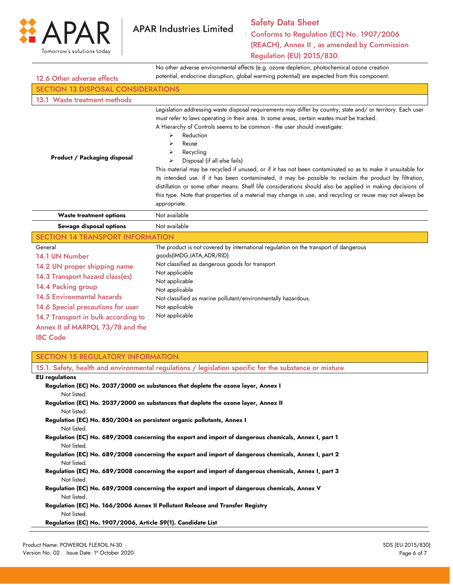

# Safety Data Sheet

Conforms to Regulation (EC) No. 1907/2006 (REACH), Annex II , as amended by Commission Regulation (EU) 2015/830.

No other adverse environmental effects (e.g. ozone depletion, photochemical ozone creation

potential, endocrine disruption, global warming potential) are expected from this component.

| 12.6 Other adverse effects                                                                                                                                                                                                                                                                 | potential, endocrine disruption, global warming potential) are expected from this component.                                                                                                                                                                                                                                                                                                                                                                                                                                                                                                                                                                                                                                                                                                                                                       |
|--------------------------------------------------------------------------------------------------------------------------------------------------------------------------------------------------------------------------------------------------------------------------------------------|----------------------------------------------------------------------------------------------------------------------------------------------------------------------------------------------------------------------------------------------------------------------------------------------------------------------------------------------------------------------------------------------------------------------------------------------------------------------------------------------------------------------------------------------------------------------------------------------------------------------------------------------------------------------------------------------------------------------------------------------------------------------------------------------------------------------------------------------------|
| <b>SECTION 13 DISPOSAL CONSIDERATIONS</b>                                                                                                                                                                                                                                                  |                                                                                                                                                                                                                                                                                                                                                                                                                                                                                                                                                                                                                                                                                                                                                                                                                                                    |
| 13.1 Waste treatment methods                                                                                                                                                                                                                                                               |                                                                                                                                                                                                                                                                                                                                                                                                                                                                                                                                                                                                                                                                                                                                                                                                                                                    |
| <b>Product / Packaging disposal</b>                                                                                                                                                                                                                                                        | Legislation addressing waste disposal requirements may differ by country, state and/ or territory. Each user<br>must refer to laws operating in their area. In some areas, certain wastes must be tracked.<br>A Hierarchy of Controls seems to be common - the user should investigate:<br>Reduction<br>⋗<br>Reuse<br>⋗<br>Recycling<br>⋗<br>Disposal (if all else fails)<br>⋗<br>This material may be recycled if unused, or if it has not been contaminated so as to make it unsuitable for<br>its intended use. If it has been contaminated, it may be possible to reclaim the product by filtration,<br>distillation or some other means. Shelf life considerations should also be applied in making decisions of<br>this type. Note that properties of a material may change in use, and recycling or reuse may not always be<br>appropriate. |
| <b>Waste treatment options</b>                                                                                                                                                                                                                                                             | Not available                                                                                                                                                                                                                                                                                                                                                                                                                                                                                                                                                                                                                                                                                                                                                                                                                                      |
| Sewage disposal options                                                                                                                                                                                                                                                                    | Not available                                                                                                                                                                                                                                                                                                                                                                                                                                                                                                                                                                                                                                                                                                                                                                                                                                      |
|                                                                                                                                                                                                                                                                                            |                                                                                                                                                                                                                                                                                                                                                                                                                                                                                                                                                                                                                                                                                                                                                                                                                                                    |
| <b>SECTION 14 TRANSPORT INFORMATION</b>                                                                                                                                                                                                                                                    |                                                                                                                                                                                                                                                                                                                                                                                                                                                                                                                                                                                                                                                                                                                                                                                                                                                    |
| General<br>14.1 UN Number<br>14.2 UN proper shipping name<br>14.3 Transport hazard class(es)<br>14.4 Packing group<br><b>14.5 Environmental hazards</b><br>14.6 Special precautions for user<br>14.7 Transport in bulk according to<br>Annex II of MARPOL 73/78 and the<br><b>IBC Code</b> | The product is not covered by international regulation on the transport of dangerous<br>goods(IMDG, IATA, ADR/RID)<br>Not classified as dangerous goods for transport.<br>Not applicable<br>Not applicable<br>Not applicable<br>Not classified as marine pollutant/environmentally hazardous.<br>Not applicable<br>Not applicable                                                                                                                                                                                                                                                                                                                                                                                                                                                                                                                  |

|                       | 15.1. Safety, health and environmental regulations / legislation specific for the substance or mixture |
|-----------------------|--------------------------------------------------------------------------------------------------------|
| <b>EU</b> regulations |                                                                                                        |
|                       | Regulation (EC) No. 2037/2000 on substances that deplete the ozone layer, Annex I                      |
| Not listed.           |                                                                                                        |
|                       | Regulation (EC) No. 2037/2000 on substances that deplete the ozone layer, Annex II                     |
| Not listed.           |                                                                                                        |
|                       | Regulation (EC) No. 850/2004 on persistent organic pollutants, Annex I                                 |
| Not listed.           |                                                                                                        |
|                       | Regulation (EC) No. 689/2008 concerning the export and import of dangerous chemicals, Annex I, part 1  |
| Not listed.           |                                                                                                        |
|                       | Regulation (EC) No. 689/2008 concerning the export and import of dangerous chemicals, Annex I, part 2  |
| Not listed.           |                                                                                                        |
|                       | Regulation (EC) No. 689/2008 concerning the export and import of dangerous chemicals, Annex I, part 3  |
| Not listed.           |                                                                                                        |
|                       | Regulation (EC) No. 689/2008 concerning the export and import of dangerous chemicals, Annex V          |
| Not listed.           |                                                                                                        |
|                       | Regulation (EC) No. 166/2006 Annex II Pollutant Release and Transfer Registry                          |
| Not listed.           |                                                                                                        |
|                       | Regulation (EC) No. 1907/2006, Article 59(1). Candidate List                                           |